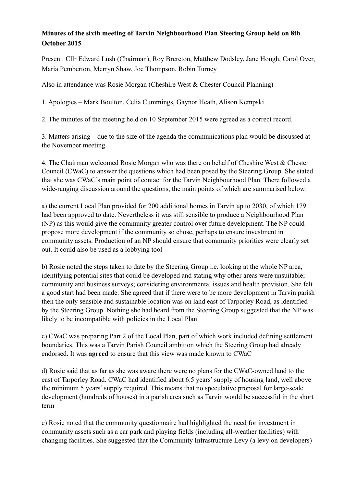## **Minutes of the sixth meeting of Tarvin Neighbourhood Plan Steering Group held on 8th October 2015**

Present: Cllr Edward Lush (Chairman), Roy Brereton, Matthew Dodsley, Jane Hough, Carol Over, Maria Pemberton, Merryn Shaw, Joe Thompson, Robin Turney

Also in attendance was Rosie Morgan (Cheshire West & Chester Council Planning)

1. Apologies – Mark Boulton, Celia Cummings, Gaynor Heath, Alison Kempski

2. The minutes of the meeting held on 10 September 2015 were agreed as a correct record.

3. Matters arising – due to the size of the agenda the communications plan would be discussed at the November meeting

4. The Chairman welcomed Rosie Morgan who was there on behalf of Cheshire West & Chester Council (CWaC) to answer the questions which had been posed by the Steering Group. She stated that she was CWaC's main point of contact for the Tarvin Neighbourhood Plan. There followed a wide-ranging discussion around the questions, the main points of which are summarised below:

a) the current Local Plan provided for 200 additional homes in Tarvin up to 2030, of which 179 had been approved to date. Nevertheless it was still sensible to produce a Neighbourhood Plan (NP) as this would give the community greater control over future development. The NP could propose more development if the community so chose, perhaps to ensure investment in community assets. Production of an NP should ensure that community priorities were clearly set out. It could also be used as a lobbying tool

b) Rosie noted the steps taken to date by the Steering Group i.e. looking at the whole NP area, identifying potential sites that could be developed and stating why other areas were unsuitable; community and business surveys; considering environmental issues and health provision. She felt a good start had been made. She agreed that if there were to be more development in Tarvin parish then the only sensible and sustainable location was on land east of Tarporley Road, as identified by the Steering Group. Nothing she had heard from the Steering Group suggested that the NP was likely to be incompatible with policies in the Local Plan

c) CWaC was preparing Part 2 of the Local Plan, part of which work included defining settlement boundaries. This was a Tarvin Parish Council ambition which the Steering Group had already endorsed. It was **agreed** to ensure that this view was made known to CWaC

d) Rosie said that as far as she was aware there were no plans for the CWaC-owned land to the east of Tarporley Road. CWaC had identified about 6.5 years' supply of housing land, well above the minimum 5 years' supply required. This means that no speculative proposal for large-scale development (hundreds of houses) in a parish area such as Tarvin would be successful in the short term

e) Rosie noted that the community questionnaire had highlighted the need for investment in community assets such as a car park and playing fields (including all-weather facilities) with changing facilities. She suggested that the Community Infrastructure Levy (a levy on developers)